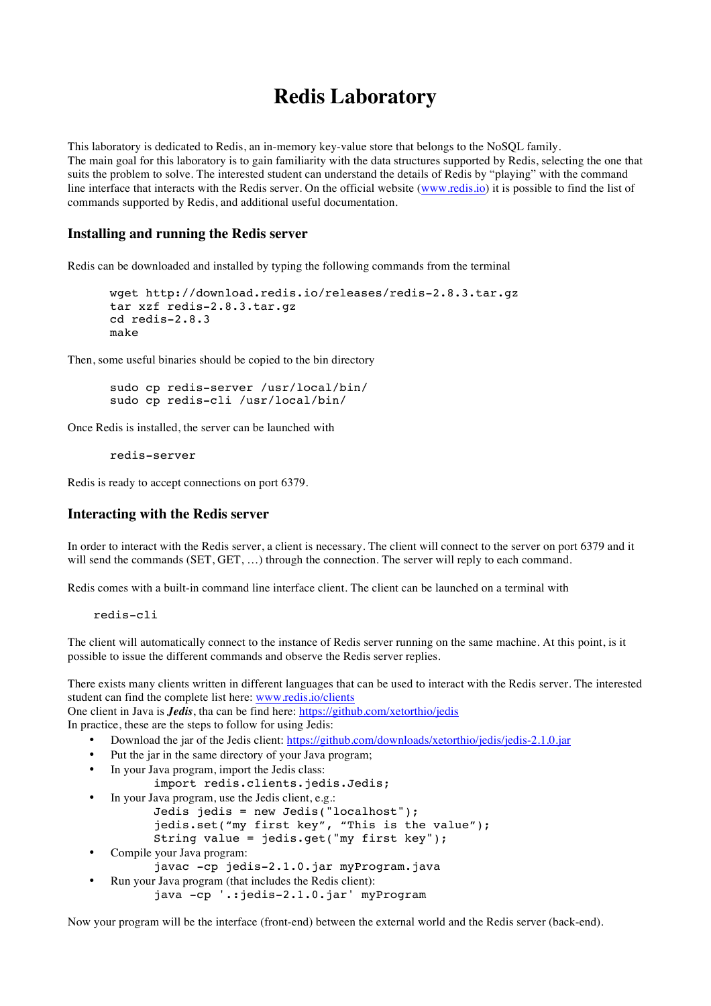# **Redis Laboratory**

This laboratory is dedicated to Redis, an in-memory key-value store that belongs to the NoSQL family. The main goal for this laboratory is to gain familiarity with the data structures supported by Redis, selecting the one that suits the problem to solve. The interested student can understand the details of Redis by "playing" with the command line interface that interacts with the Redis server. On the official website (www.redis.io) it is possible to find the list of commands supported by Redis, and additional useful documentation.

#### **Installing and running the Redis server**

Redis can be downloaded and installed by typing the following commands from the terminal

```
wget http://download.redis.io/releases/redis-2.8.3.tar.gz
tar xzf redis-2.8.3.tar.gz
cd redis-2.8.3
make
```
Then, some useful binaries should be copied to the bin directory

```
sudo cp redis-server /usr/local/bin/
sudo cp redis-cli /usr/local/bin/
```
Once Redis is installed, the server can be launched with

redis-server

Redis is ready to accept connections on port 6379.

#### **Interacting with the Redis server**

In order to interact with the Redis server, a client is necessary. The client will connect to the server on port 6379 and it will send the commands (SET, GET, ...) through the connection. The server will reply to each command.

Redis comes with a built-in command line interface client. The client can be launched on a terminal with

redis-cli

The client will automatically connect to the instance of Redis server running on the same machine. At this point, is it possible to issue the different commands and observe the Redis server replies.

There exists many clients written in different languages that can be used to interact with the Redis server. The interested student can find the complete list here: www.redis.io/clients

One client in Java is *Jedis*, tha can be find here: https://github.com/xetorthio/jedis

In practice, these are the steps to follow for using Jedis:

- Download the jar of the Jedis client: https://github.com/downloads/xetorthio/jedis/jedis-2.1.0.jar
- Put the jar in the same directory of your Java program;
- In your Java program, import the Jedis class:
	- import redis.clients.jedis.Jedis;
- In your Java program, use the Jedis client, e.g.:
	- Jedis jedis = new Jedis("localhost"); jedis.set("my first key", "This is the value"); String value = jedis.get("my first key");
- Compile your Java program:
	- javac -cp jedis-2.1.0.jar myProgram.java
- Run your Java program (that includes the Redis client): java -cp '.:jedis-2.1.0.jar' myProgram

Now your program will be the interface (front-end) between the external world and the Redis server (back-end).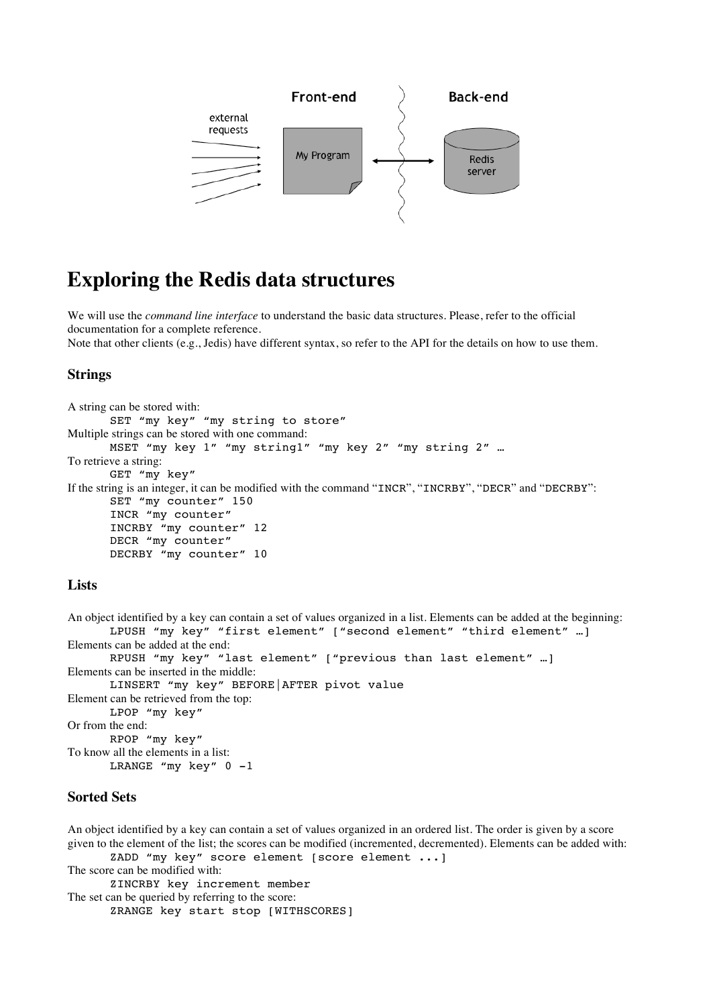

## **Exploring the Redis data structures**

We will use the *command line interface* to understand the basic data structures. Please, refer to the official documentation for a complete reference.

Note that other clients (e.g., Jedis) have different syntax, so refer to the API for the details on how to use them.

### **Strings**

```
A string can be stored with:
       SET "my key" "my string to store"
Multiple strings can be stored with one command:
       MSET "my key 1" "my string1" "my key 2" "my string 2" …
To retrieve a string:
       GET "my key"
If the string is an integer, it can be modified with the command "INCR", "INCRBY", "DECR" and "DECRBY":
       SET "my counter" 150
       INCR "my counter"
       INCRBY "my counter" 12
       DECR "my counter"
       DECRBY "my counter" 10
```
#### **Lists**

An object identified by a key can contain a set of values organized in a list. Elements can be added at the beginning: LPUSH "my key" "first element" ["second element" "third element" …] Elements can be added at the end: RPUSH "my key" "last element" ["previous than last element" …] Elements can be inserted in the middle: LINSERT "my key" BEFORE|AFTER pivot value Element can be retrieved from the top: LPOP "my key" Or from the end: RPOP "my key" To know all the elements in a list: LRANGE "my key"  $0 -1$ 

#### **Sorted Sets**

An object identified by a key can contain a set of values organized in an ordered list. The order is given by a score given to the element of the list; the scores can be modified (incremented, decremented). Elements can be added with: ZADD "my key" score element [score element ...]

The score can be modified with: ZINCRBY key increment member The set can be queried by referring to the score: ZRANGE key start stop [WITHSCORES]